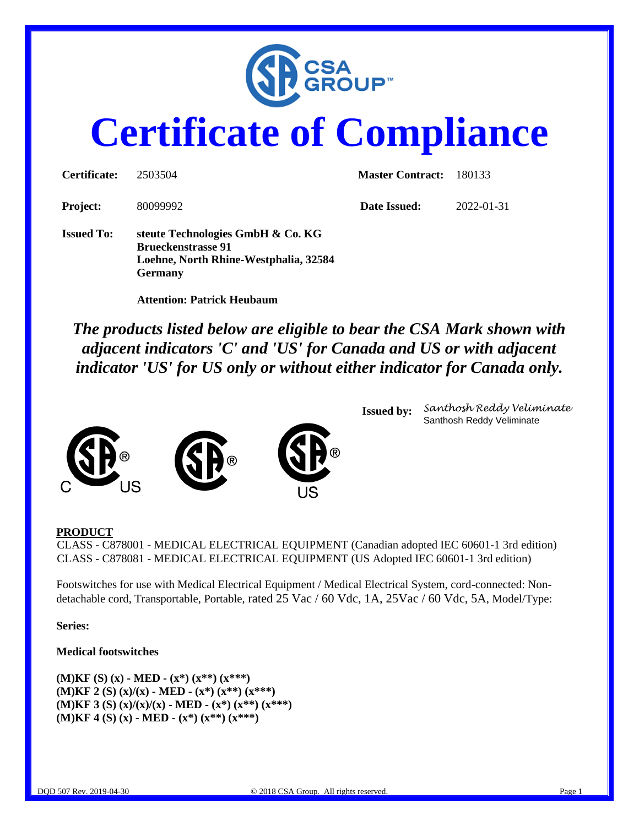

# **Certificate of Compliance**

| Certificate:      | 2503504                                                                                                                   | <b>Master Contract:</b> | 180133     |
|-------------------|---------------------------------------------------------------------------------------------------------------------------|-------------------------|------------|
| <b>Project:</b>   | 80099992                                                                                                                  | Date Issued:            | 2022-01-31 |
| <b>Issued To:</b> | steute Technologies GmbH & Co. KG<br><b>Brueckenstrasse 91</b><br>Loehne, North Rhine-Westphalia, 32584<br><b>Germany</b> |                         |            |

 **Attention: Patrick Heubaum**

*The products listed below are eligible to bear the CSA Mark shown with adjacent indicators 'C' and 'US' for Canada and US or with adjacent indicator 'US' for US only or without either indicator for Canada only.*



**Issued by:** *Santhosh Reddy Veliminate* Santhosh Reddy Veliminate

## **PRODUCT**

CLASS - C878001 - MEDICAL ELECTRICAL EQUIPMENT (Canadian adopted IEC 60601-1 3rd edition) CLASS - C878081 - MEDICAL ELECTRICAL EQUIPMENT (US Adopted IEC 60601-1 3rd edition)

Footswitches for use with Medical Electrical Equipment / Medical Electrical System, cord-connected: Nondetachable cord, Transportable, Portable, rated 25 Vac / 60 Vdc, 1A, 25Vac / 60 Vdc, 5A, Model/Type:

**Series:**

#### **Medical footswitches**

**(M)KF (S) (x) - MED - (x\*) (x\*\*) (x\*\*\*) (M)KF 2 (S) (x)/(x) - MED - (x\*) (x\*\*) (x\*\*\*) (M)KF 3 (S) (x)/(x)/(x) - MED - (x\*) (x\*\*) (x\*\*\*) (M)KF 4 (S) (x) - MED - (x\*) (x\*\*) (x\*\*\*)**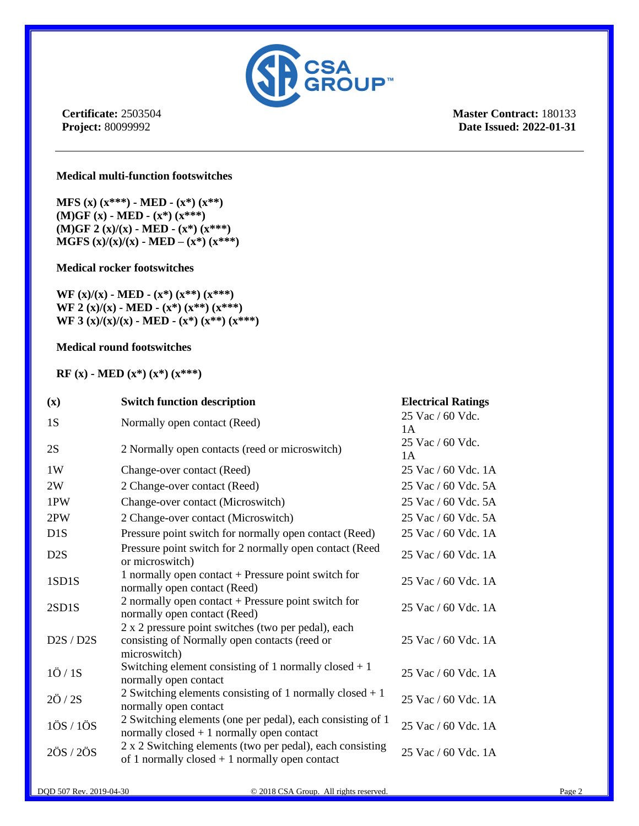

**Master Contract:** 180133 **Date Issued: 2022-01-31**

#### **Medical multi-function footswitches**

**MFS (x) (x\*\*\*) - MED - (x\*) (x\*\*) (M)GF (x) - MED - (x\*) (x\*\*\*) (M)GF 2 (x)/(x) - MED - (x\*) (x\*\*\*) MGFS**  $(x)/(x)/(x) - \text{MED} - (x^*) (x^{***})$ 

#### **Medical rocker footswitches**

**WF (x)/(x) - MED - (x\*) (x\*\*) (x\*\*\*) WF 2 (x)/(x) - MED - (x\*) (x\*\*) (x\*\*\*) WF 3 (x)/(x)/(x) - MED - (x\*) (x\*\*) (x\*\*\*)**

#### **Medical round footswitches**

**RF (x) - MED (x\*) (x\*) (x\*\*\*)**

| $(\mathbf{x})$                       | <b>Switch function description</b>                                                                                   | <b>Electrical Ratings</b> |
|--------------------------------------|----------------------------------------------------------------------------------------------------------------------|---------------------------|
| 1S                                   | Normally open contact (Reed)                                                                                         | 25 Vac / 60 Vdc.<br>1A    |
| 2S                                   | 2 Normally open contacts (reed or microswitch)                                                                       | 25 Vac / 60 Vdc.<br>1 A   |
| 1W                                   | Change-over contact (Reed)                                                                                           | 25 Vac / 60 Vdc. 1A       |
| 2W                                   | 2 Change-over contact (Reed)                                                                                         | 25 Vac / 60 Vdc. 5A       |
| 1PW                                  | Change-over contact (Microswitch)                                                                                    | 25 Vac / 60 Vdc. 5A       |
| 2PW                                  | 2 Change-over contact (Microswitch)                                                                                  | 25 Vac / 60 Vdc. 5A       |
| D <sub>1</sub> S                     | Pressure point switch for normally open contact (Reed)                                                               | 25 Vac / 60 Vdc. 1A       |
| D <sub>2</sub> S                     | Pressure point switch for 2 normally open contact (Reed<br>or microswitch)                                           | 25 Vac / 60 Vdc. 1A       |
| 1SD1S                                | 1 normally open contact $+$ Pressure point switch for<br>normally open contact (Reed)                                | 25 Vac / 60 Vdc. 1A       |
| 2SD1S                                | 2 normally open contact $+$ Pressure point switch for<br>normally open contact (Reed)                                | 25 Vac / 60 Vdc. 1A       |
| D2S / D2S                            | 2 x 2 pressure point switches (two per pedal), each<br>consisting of Normally open contacts (reed or<br>microswitch) | 25 Vac / 60 Vdc. 1A       |
| $1\ddot{\mathrm{O}}/1\mathrm{S}$     | Switching element consisting of 1 normally closed $+1$<br>normally open contact                                      | 25 Vac / 60 Vdc. 1A       |
| $2\ddot{\mathrm{O}}$ / $2\mathrm{S}$ | 2 Switching elements consisting of 1 normally closed $+1$<br>normally open contact                                   | 25 Vac / 60 Vdc. 1A       |
| 10S/10S                              | 2 Switching elements (one per pedal), each consisting of 1<br>normally $closed + 1$ normally open contact            | 25 Vac / 60 Vdc. 1A       |
| 20S/20S                              | 2 x 2 Switching elements (two per pedal), each consisting<br>of 1 normally closed $+1$ normally open contact         | 25 Vac / 60 Vdc. 1A       |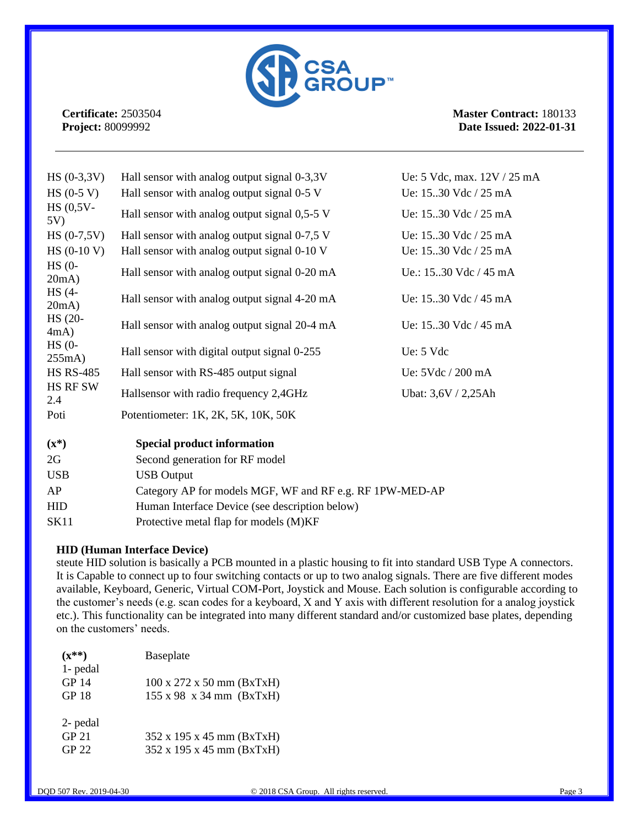

**Master Contract:** 180133 **Date Issued: 2022-01-31**

| $HS (0-3, 3V)$      | Hall sensor with analog output signal 0-3,3V             | Ue: 5 Vdc, max. 12V / 25 mA |
|---------------------|----------------------------------------------------------|-----------------------------|
| $HS (0-5 V)$        | Hall sensor with analog output signal 0-5 V              | Ue: 1530 Vdc / 25 mA        |
| $HS (0,5V -$<br>5V) | Hall sensor with analog output signal 0,5-5 V            | Ue: 1530 Vdc / 25 mA        |
| $HS (0-7,5V)$       | Hall sensor with analog output signal 0-7,5 V            | Ue: 1530 Vdc / 25 mA        |
| $HS (0-10 V)$       | Hall sensor with analog output signal 0-10 V             | Ue: 15.30 Vdc / 25 mA       |
| $HS(0-$<br>20mA)    | Hall sensor with analog output signal 0-20 mA            | Ue.: 15.30 Vdc / 45 mA      |
| $HS(4-$<br>20mA)    | Hall sensor with analog output signal 4-20 mA            | Ue: 15.30 Vdc / 45 mA       |
| HS (20-<br>4mA)     | Hall sensor with analog output signal 20-4 mA            | Ue: 1530 Vdc / 45 mA        |
| $HS(0-$<br>255mA)   | Hall sensor with digital output signal 0-255             | Ue: 5 Vdc                   |
| <b>HS RS-485</b>    | Hall sensor with RS-485 output signal                    | Ue: 5Vdc / 200 mA           |
| HS RF SW<br>2.4     | Hallsensor with radio frequency 2,4GHz                   | Ubat: 3,6V / 2,25Ah         |
| Poti                | Potentiometer: 1K, 2K, 5K, 10K, 50K                      |                             |
| $(\mathbf{x}^*)$    | <b>Special product information</b>                       |                             |
| 2G                  | Second generation for RF model                           |                             |
| <b>USB</b>          | <b>USB</b> Output                                        |                             |
| AP                  | Category AP for models MGF, WF and RF e.g. RF 1PW-MED-AP |                             |
| <b>HID</b>          | Human Interface Device (see description below)           |                             |
| <b>SK11</b>         | Protective metal flap for models (M)KF                   |                             |

## **HID (Human Interface Device)**

steute HID solution is basically a PCB mounted in a plastic housing to fit into standard USB Type A connectors. It is Capable to connect up to four switching contacts or up to two analog signals. There are five different modes available, Keyboard, Generic, Virtual COM-Port, Joystick and Mouse. Each solution is configurable according to the customer's needs (e.g. scan codes for a keyboard, X and Y axis with different resolution for a analog joystick etc.). This functionality can be integrated into many different standard and/or customized base plates, depending on the customers' needs.

| $(x^{**})$       | Baseplate                                     |
|------------------|-----------------------------------------------|
| 1- pedal         |                                               |
| <b>GP 14</b>     | $100 \times 272 \times 50 \text{ mm}$ (BxTxH) |
| <b>GP 18</b>     | $155 \times 98 \times 34 \text{ mm}$ (BxTxH)  |
| 2- pedal         |                                               |
| GP <sub>21</sub> | 352 x 195 x 45 mm (BxTxH)                     |
| GP 22            | 352 x 195 x 45 mm (BxTxH)                     |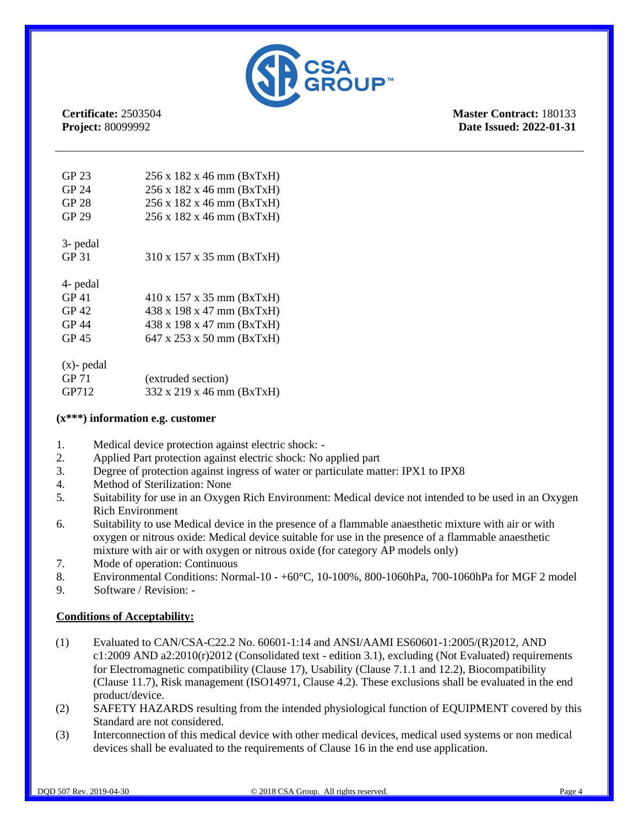

**Master Contract:** 180133 **Date Issued: 2022-01-31**

| GP 23         | 256 x 182 x 46 mm (BxTxH)                     |
|---------------|-----------------------------------------------|
| GP 24         | 256 x 182 x 46 mm (BxTxH)                     |
| <b>GP 28</b>  | 256 x 182 x 46 mm (BxTxH)                     |
| GP 29         | 256 x 182 x 46 mm (BxTxH)                     |
| 3- pedal      |                                               |
| GP 31         | 310 x 157 x 35 mm (BxTxH)                     |
| 4- pedal      |                                               |
| GP 41         | $410 \times 157 \times 35$ mm (BxTxH)         |
| GP 42         | 438 x 198 x 47 mm (BxTxH)                     |
| GP 44         | 438 x 198 x 47 mm (BxTxH)                     |
| GP 45         | $647 \times 253 \times 50 \text{ mm}$ (BxTxH) |
|               |                                               |
| $(x)$ - pedal |                                               |
| GP 71         | (extruded section)                            |

GP712 332 x 219 x 46 mm (BxTxH)

| $(x***)$ information e.g. customer |  |
|------------------------------------|--|

- 1. Medical device protection against electric shock: -
- 2. Applied Part protection against electric shock: No applied part
- 3. Degree of protection against ingress of water or particulate matter: IPX1 to IPX8
- 4. Method of Sterilization: None
- 5. Suitability for use in an Oxygen Rich Environment: Medical device not intended to be used in an Oxygen Rich Environment
- 6. Suitability to use Medical device in the presence of a flammable anaesthetic mixture with air or with oxygen or nitrous oxide: Medical device suitable for use in the presence of a flammable anaesthetic mixture with air or with oxygen or nitrous oxide (for category AP models only)
- 7. Mode of operation: Continuous
- 8. Environmental Conditions: Normal-10 +60°C, 10-100%, 800-1060hPa, 700-1060hPa for MGF 2 model
- 9. Software / Revision: -

## **Conditions of Acceptability:**

- (1) Evaluated to CAN/CSA-C22.2 No. 60601-1:14 and ANSI/AAMI ES60601-1:2005/(R)2012, AND c1:2009 AND a2:2010(r)2012 (Consolidated text - edition 3.1), excluding (Not Evaluated) requirements for Electromagnetic compatibility (Clause 17), Usability (Clause 7.1.1 and 12.2), Biocompatibility (Clause 11.7), Risk management (ISO14971, Clause 4.2). These exclusions shall be evaluated in the end product/device.
- (2) SAFETY HAZARDS resulting from the intended physiological function of EQUIPMENT covered by this Standard are not considered.
- (3) Interconnection of this medical device with other medical devices, medical used systems or non medical devices shall be evaluated to the requirements of Clause 16 in the end use application.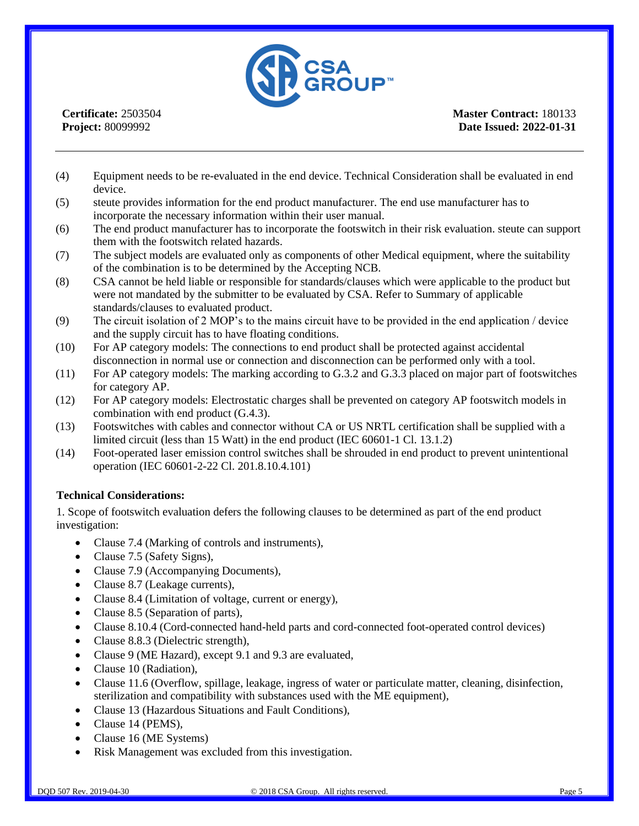

**Master Contract:** 180133 **Date Issued: 2022-01-31**

- (4) Equipment needs to be re-evaluated in the end device. Technical Consideration shall be evaluated in end device.
- (5) steute provides information for the end product manufacturer. The end use manufacturer has to incorporate the necessary information within their user manual.
- (6) The end product manufacturer has to incorporate the footswitch in their risk evaluation. steute can support them with the footswitch related hazards.
- (7) The subject models are evaluated only as components of other Medical equipment, where the suitability of the combination is to be determined by the Accepting NCB.
- (8) CSA cannot be held liable or responsible for standards/clauses which were applicable to the product but were not mandated by the submitter to be evaluated by CSA. Refer to Summary of applicable standards/clauses to evaluated product.
- (9) The circuit isolation of 2 MOP's to the mains circuit have to be provided in the end application / device and the supply circuit has to have floating conditions.
- (10) For AP category models: The connections to end product shall be protected against accidental disconnection in normal use or connection and disconnection can be performed only with a tool.
- (11) For AP category models: The marking according to G.3.2 and G.3.3 placed on major part of footswitches for category AP.
- (12) For AP category models: Electrostatic charges shall be prevented on category AP footswitch models in combination with end product (G.4.3).
- (13) Footswitches with cables and connector without CA or US NRTL certification shall be supplied with a limited circuit (less than 15 Watt) in the end product (IEC 60601-1 Cl. 13.1.2)
- (14) Foot-operated laser emission control switches shall be shrouded in end product to prevent unintentional operation (IEC 60601-2-22 Cl. 201.8.10.4.101)

## **Technical Considerations:**

1. Scope of footswitch evaluation defers the following clauses to be determined as part of the end product investigation:

- Clause 7.4 (Marking of controls and instruments),
- Clause 7.5 (Safety Signs),
- Clause 7.9 (Accompanying Documents),
- Clause 8.7 (Leakage currents),
- Clause 8.4 (Limitation of voltage, current or energy),
- Clause 8.5 (Separation of parts),
- Clause 8.10.4 (Cord-connected hand-held parts and cord-connected foot-operated control devices)
- Clause 8.8.3 (Dielectric strength),
- Clause 9 (ME Hazard), except 9.1 and 9.3 are evaluated,
- Clause 10 (Radiation),
- Clause 11.6 (Overflow, spillage, leakage, ingress of water or particulate matter, cleaning, disinfection, sterilization and compatibility with substances used with the ME equipment),
- Clause 13 (Hazardous Situations and Fault Conditions),
- Clause 14 (PEMS),
- Clause 16 (ME Systems)
- Risk Management was excluded from this investigation.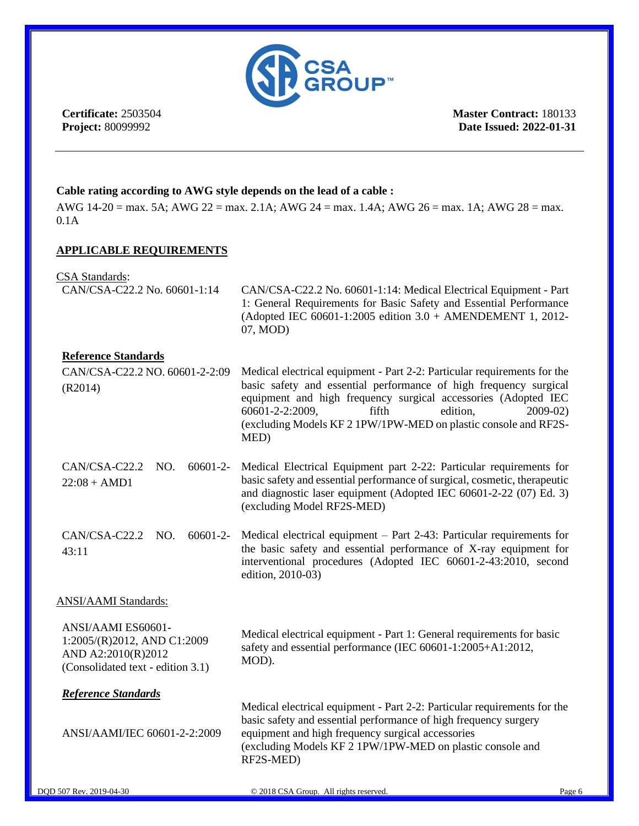

**Master Contract:** 180133 **Date Issued: 2022-01-31**

## **Cable rating according to AWG style depends on the lead of a cable :**

AWG 14-20 = max. 5A; AWG 22 = max. 2.1A; AWG 24 = max. 1.4A; AWG 26 = max. 1A; AWG 28 = max. 0.1A

## **APPLICABLE REQUIREMENTS**

CSA Standards:

| CUI I Dianualus.<br>CAN/CSA-C22.2 No. 60601-1:14                                                             | CAN/CSA-C22.2 No. 60601-1:14: Medical Electrical Equipment - Part<br>1: General Requirements for Basic Safety and Essential Performance<br>(Adopted IEC 60601-1:2005 edition 3.0 + AMENDEMENT 1, 2012-<br>07, MOD)                                                                                                                                |
|--------------------------------------------------------------------------------------------------------------|---------------------------------------------------------------------------------------------------------------------------------------------------------------------------------------------------------------------------------------------------------------------------------------------------------------------------------------------------|
| <b>Reference Standards</b><br>CAN/CSA-C22.2 NO. 60601-2-2:09<br>(R2014)                                      | Medical electrical equipment - Part 2-2: Particular requirements for the<br>basic safety and essential performance of high frequency surgical<br>equipment and high frequency surgical accessories (Adopted IEC<br>60601-2-2:2009,<br>fifth<br>edition,<br>$2009 - 02$<br>(excluding Models KF 2 1PW/1PW-MED on plastic console and RF2S-<br>MED) |
| CAN/CSA-C22.2<br>NO.<br>$60601 - 2 -$<br>$22:08 + AMD1$                                                      | Medical Electrical Equipment part 2-22: Particular requirements for<br>basic safety and essential performance of surgical, cosmetic, therapeutic<br>and diagnostic laser equipment (Adopted IEC 60601-2-22 (07) Ed. 3)<br>(excluding Model RF2S-MED)                                                                                              |
| CAN/CSA-C22.2 NO.<br>$60601 - 2 -$<br>43:11                                                                  | Medical electrical equipment – Part 2-43: Particular requirements for<br>the basic safety and essential performance of X-ray equipment for<br>interventional procedures (Adopted IEC 60601-2-43:2010, second<br>edition, 2010-03)                                                                                                                 |
| <b>ANSI/AAMI Standards:</b>                                                                                  |                                                                                                                                                                                                                                                                                                                                                   |
| ANSI/AAMI ES60601-<br>1:2005/(R)2012, AND C1:2009<br>AND A2:2010(R)2012<br>(Consolidated text - edition 3.1) | Medical electrical equipment - Part 1: General requirements for basic<br>safety and essential performance (IEC 60601-1:2005+A1:2012,<br>MOD).                                                                                                                                                                                                     |
| Reference Standards<br>ANSI/AAMI/IEC 60601-2-2:2009                                                          | Medical electrical equipment - Part 2-2: Particular requirements for the<br>basic safety and essential performance of high frequency surgery<br>equipment and high frequency surgical accessories<br>(excluding Models KF 2 1PW/1PW-MED on plastic console and<br>RF2S-MED)                                                                       |
| DQD 507 Rev. 2019-04-30                                                                                      | © 2018 CSA Group. All rights reserved.<br>Page 6                                                                                                                                                                                                                                                                                                  |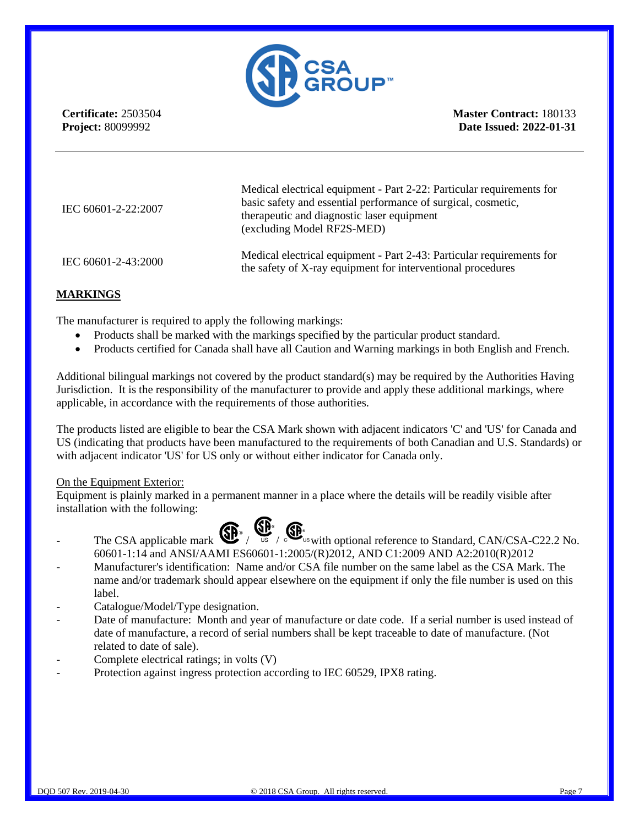

**Master Contract:** 180133 **Date Issued: 2022-01-31**

| IEC 60601-2-22:2007 | Medical electrical equipment - Part 2-22: Particular requirements for<br>basic safety and essential performance of surgical, cosmetic,<br>therapeutic and diagnostic laser equipment<br>(excluding Model RF2S-MED) |
|---------------------|--------------------------------------------------------------------------------------------------------------------------------------------------------------------------------------------------------------------|
| IEC 60601-2-43:2000 | Medical electrical equipment - Part 2-43: Particular requirements for<br>the safety of X-ray equipment for interventional procedures                                                                               |

## **MARKINGS**

The manufacturer is required to apply the following markings:

- Products shall be marked with the markings specified by the particular product standard.
- Products certified for Canada shall have all Caution and Warning markings in both English and French.

Additional bilingual markings not covered by the product standard(s) may be required by the Authorities Having Jurisdiction. It is the responsibility of the manufacturer to provide and apply these additional markings, where applicable, in accordance with the requirements of those authorities.

The products listed are eligible to bear the CSA Mark shown with adjacent indicators 'C' and 'US' for Canada and US (indicating that products have been manufactured to the requirements of both Canadian and U.S. Standards) or with adjacent indicator 'US' for US only or without either indicator for Canada only.

#### On the Equipment Exterior:

Equipment is plainly marked in a permanent manner in a place where the details will be readily visible after installation with the following:





- The CSA applicable mark  $\bigoplus_{\mathsf{US}} \bigoplus_{\mathsf{US}} \bigoplus_{\mathsf{US}}$  with optional reference to Standard, CAN/CSA-C22.2 No. 60601-1:14 and ANSI/AAMI ES60601-1:2005/(R)2012, AND C1:2009 AND A2:2010(R)2012
- Manufacturer's identification: Name and/or CSA file number on the same label as the CSA Mark. The name and/or trademark should appear elsewhere on the equipment if only the file number is used on this label.
- Catalogue/Model/Type designation.
- Date of manufacture: Month and year of manufacture or date code. If a serial number is used instead of date of manufacture, a record of serial numbers shall be kept traceable to date of manufacture. (Not related to date of sale).
- Complete electrical ratings; in volts (V)
- Protection against ingress protection according to IEC 60529, IPX8 rating.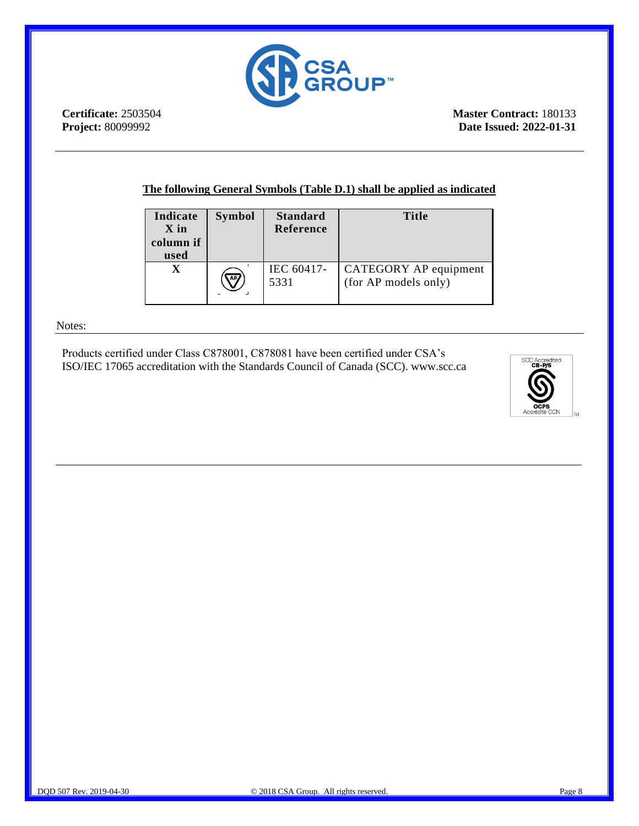

**Master Contract:** 180133 **Date Issued: 2022-01-31**

## **The following General Symbols (Table D.1) shall be applied as indicated**

| Indicate<br>X in<br>column if<br>used | <b>Symbol</b> | <b>Standard</b><br><b>Reference</b> | <b>Title</b>                                  |
|---------------------------------------|---------------|-------------------------------------|-----------------------------------------------|
|                                       | AP/           | IEC 60417-<br>5331                  | CATEGORY AP equipment<br>(for AP models only) |

#### Notes:

Products certified under Class C878001, C878081 have been certified under CSA's ISO/IEC 17065 accreditation with the Standards Council of Canada (SCC). www.scc.ca